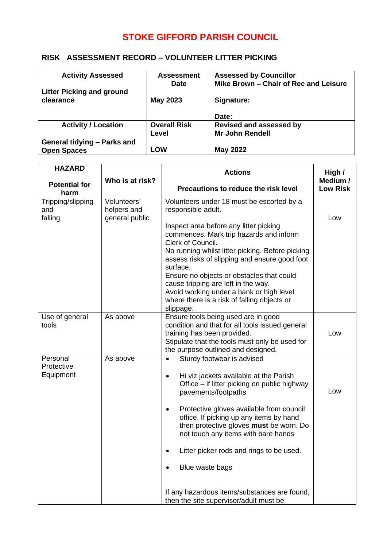## **STOKE GIFFORD PARISH COUNCIL**

## **RISK ASSESSMENT RECORD – VOLUNTEER LITTER PICKING**

| <b>Activity Assessed</b>           | <b>Assessment</b>   | <b>Assessed by Councillor</b>         |
|------------------------------------|---------------------|---------------------------------------|
|                                    | <b>Date</b>         | Mike Brown - Chair of Rec and Leisure |
| <b>Litter Picking and ground</b>   |                     |                                       |
| clearance                          | <b>May 2023</b>     | Signature:                            |
|                                    |                     |                                       |
|                                    |                     | Date:                                 |
| <b>Activity / Location</b>         | <b>Overall Risk</b> | <b>Revised and assessed by</b>        |
|                                    | Level               | Mr John Rendell                       |
| <b>General tidying - Parks and</b> |                     |                                       |
| <b>Open Spaces</b>                 | <b>LOW</b>          | <b>May 2022</b>                       |

|                                              | <b>Actions</b>                                                                                                                                                                                                                                                                                                                                                                                                                                                                         | High /<br>Medium /                     |
|----------------------------------------------|----------------------------------------------------------------------------------------------------------------------------------------------------------------------------------------------------------------------------------------------------------------------------------------------------------------------------------------------------------------------------------------------------------------------------------------------------------------------------------------|----------------------------------------|
|                                              | Precautions to reduce the risk level                                                                                                                                                                                                                                                                                                                                                                                                                                                   | <b>Low Risk</b>                        |
| Volunteers'<br>helpers and<br>general public | Volunteers under 18 must be escorted by a<br>responsible adult.<br>Inspect area before any litter picking<br>commences. Mark trip hazards and inform<br>Clerk of Council.<br>No running whilst litter picking. Before picking<br>assess risks of slipping and ensure good foot<br>surface.<br>Ensure no objects or obstacles that could<br>cause tripping are left in the way.<br>Avoid working under a bank or high level<br>where there is a risk of falling objects or<br>slippage. | Low                                    |
| As above                                     | Ensure tools being used are in good<br>condition and that for all tools issued general<br>training has been provided.<br>Stipulate that the tools must only be used for<br>the purpose outlined and designed.                                                                                                                                                                                                                                                                          | Low                                    |
| As above                                     | Sturdy footwear is advised<br>$\bullet$<br>Hi viz jackets available at the Parish<br>$\bullet$<br>Office – if litter picking on public highway<br>pavements/footpaths<br>Protective gloves available from council<br>$\bullet$<br>office. If picking up any items by hand<br>then protective gloves must be worn. Do<br>not touch any items with bare hands<br>Litter picker rods and rings to be used.<br>Blue waste bags<br>If any hazardous items/substances are found,             | Low                                    |
|                                              | Who is at risk?                                                                                                                                                                                                                                                                                                                                                                                                                                                                        | then the site supervisor/adult must be |